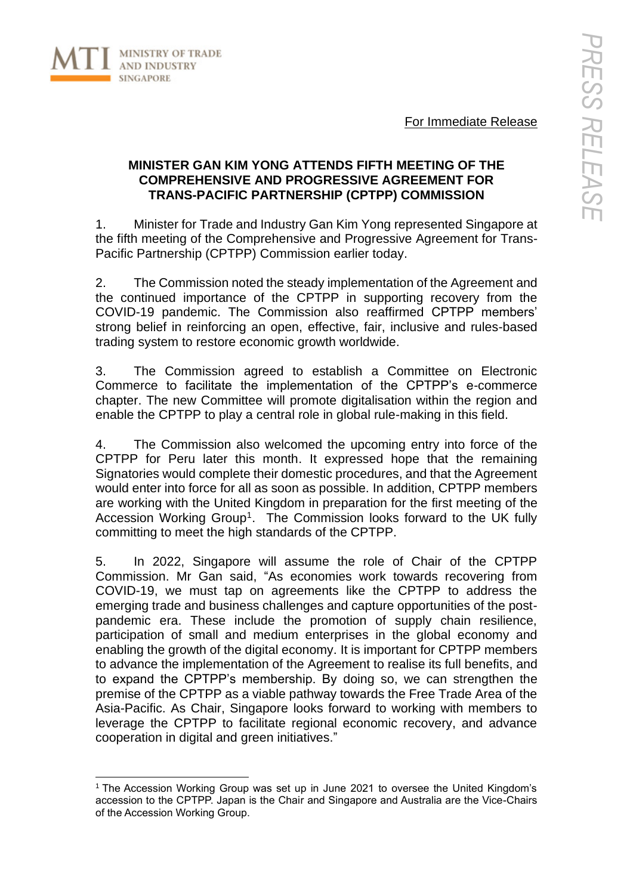

For Immediate Release

# **MINISTER GAN KIM YONG ATTENDS FIFTH MEETING OF THE COMPREHENSIVE AND PROGRESSIVE AGREEMENT FOR TRANS-PACIFIC PARTNERSHIP (CPTPP) COMMISSION**

1. Minister for Trade and Industry Gan Kim Yong represented Singapore at the fifth meeting of the Comprehensive and Progressive Agreement for Trans-Pacific Partnership (CPTPP) Commission earlier today.

2. The Commission noted the steady implementation of the Agreement and the continued importance of the CPTPP in supporting recovery from the COVID-19 pandemic. The Commission also reaffirmed CPTPP members' strong belief in reinforcing an open, effective, fair, inclusive and rules-based trading system to restore economic growth worldwide.

3. The Commission agreed to establish a Committee on Electronic Commerce to facilitate the implementation of the CPTPP's e-commerce chapter. The new Committee will promote digitalisation within the region and enable the CPTPP to play a central role in global rule-making in this field.

4. The Commission also welcomed the upcoming entry into force of the CPTPP for Peru later this month. It expressed hope that the remaining Signatories would complete their domestic procedures, and that the Agreement would enter into force for all as soon as possible. In addition, CPTPP members are working with the United Kingdom in preparation for the first meeting of the Accession Working Group<sup>1</sup>. The Commission looks forward to the UK fully committing to meet the high standards of the CPTPP.

5. In 2022, Singapore will assume the role of Chair of the CPTPP Commission. Mr Gan said, "As economies work towards recovering from COVID-19, we must tap on agreements like the CPTPP to address the emerging trade and business challenges and capture opportunities of the postpandemic era. These include the promotion of supply chain resilience, participation of small and medium enterprises in the global economy and enabling the growth of the digital economy. It is important for CPTPP members to advance the implementation of the Agreement to realise its full benefits, and to expand the CPTPP's membership. By doing so, we can strengthen the premise of the CPTPP as a viable pathway towards the Free Trade Area of the Asia-Pacific. As Chair, Singapore looks forward to working with members to leverage the CPTPP to facilitate regional economic recovery, and advance cooperation in digital and green initiatives."

<sup>&</sup>lt;sup>1</sup> The Accession Working Group was set up in June 2021 to oversee the United Kingdom's accession to the CPTPP. Japan is the Chair and Singapore and Australia are the Vice-Chairs of the Accession Working Group.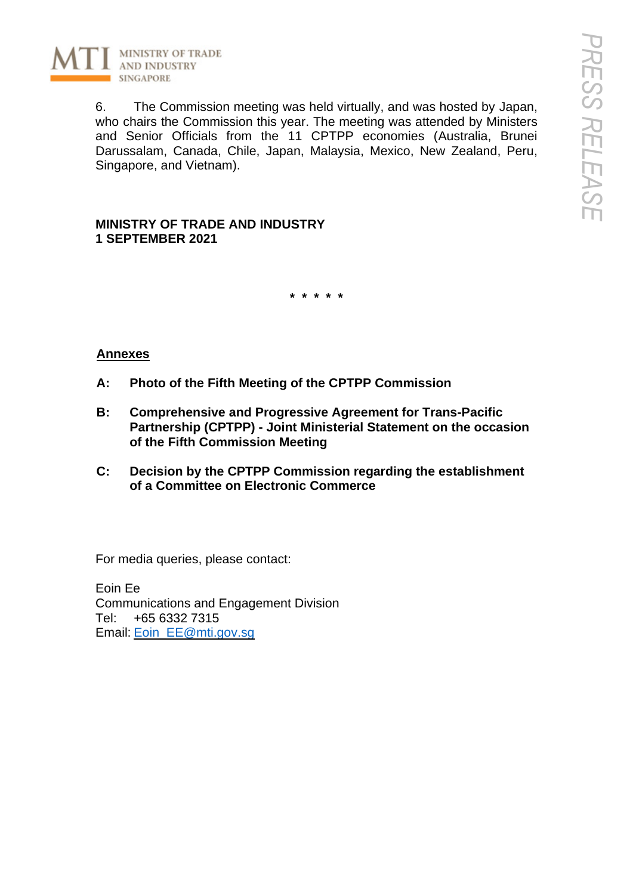

6. The Commission meeting was held virtually, and was hosted by Japan, who chairs the Commission this year. The meeting was attended by Ministers and Senior Officials from the 11 CPTPP economies (Australia, Brunei Darussalam, Canada, Chile, Japan, Malaysia, Mexico, New Zealand, Peru, Singapore, and Vietnam).

**MINISTRY OF TRADE AND INDUSTRY 1 SEPTEMBER 2021**

**\* \* \* \* \***

# **Annexes**

- **A: Photo of the Fifth Meeting of the CPTPP Commission**
- **B: Comprehensive and Progressive Agreement for Trans-Pacific Partnership (CPTPP) - Joint Ministerial Statement on the occasion of the Fifth Commission Meeting**
- **C: Decision by the CPTPP Commission regarding the establishment of a Committee on Electronic Commerce**

For media queries, please contact:

Eoin Ee Communications and Engagement Division Tel: +65 6332 7315 Email: Eoin\_EE@mti.gov.sg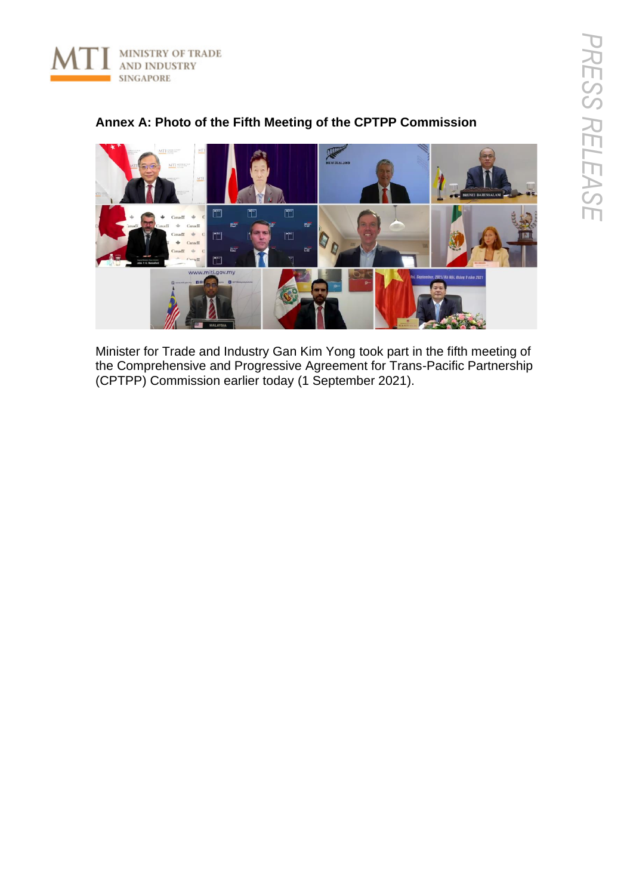



# **Annex A: Photo of the Fifth Meeting of the CPTPP Commission**

Minister for Trade and Industry Gan Kim Yong took part in the fifth meeting of the Comprehensive and Progressive Agreement for Trans-Pacific Partnership (CPTPP) Commission earlier today (1 September 2021).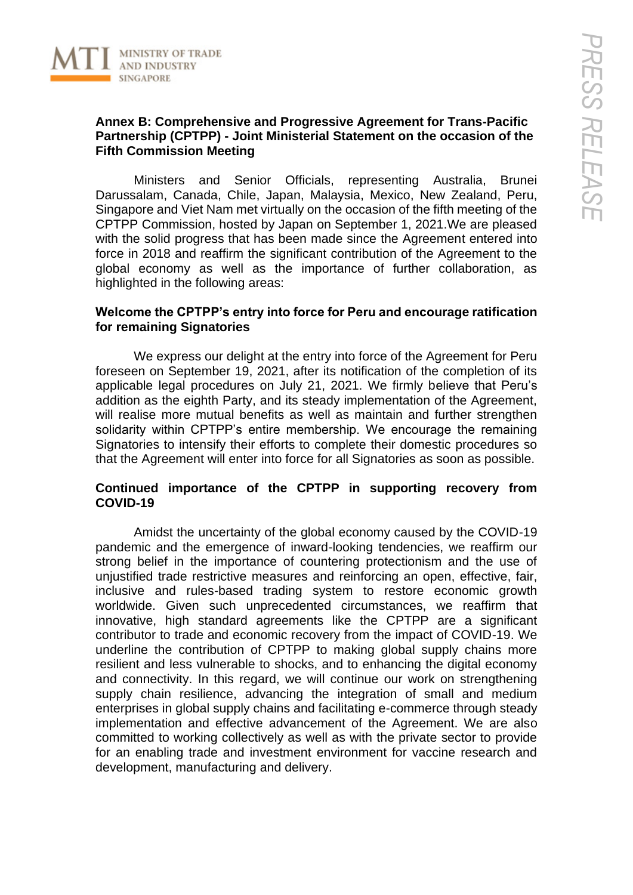

# **Annex B: Comprehensive and Progressive Agreement for Trans-Pacific Partnership (CPTPP) - Joint Ministerial Statement on the occasion of the Fifth Commission Meeting**

Ministers and Senior Officials, representing Australia, Brunei Darussalam, Canada, Chile, Japan, Malaysia, Mexico, New Zealand, Peru, Singapore and Viet Nam met virtually on the occasion of the fifth meeting of the CPTPP Commission, hosted by Japan on September 1, 2021.We are pleased with the solid progress that has been made since the Agreement entered into force in 2018 and reaffirm the significant contribution of the Agreement to the global economy as well as the importance of further collaboration, as highlighted in the following areas:

### **Welcome the CPTPP's entry into force for Peru and encourage ratification for remaining Signatories**

We express our delight at the entry into force of the Agreement for Peru foreseen on September 19, 2021, after its notification of the completion of its applicable legal procedures on July 21, 2021. We firmly believe that Peru's addition as the eighth Party, and its steady implementation of the Agreement, will realise more mutual benefits as well as maintain and further strengthen solidarity within CPTPP's entire membership. We encourage the remaining Signatories to intensify their efforts to complete their domestic procedures so that the Agreement will enter into force for all Signatories as soon as possible.

### **Continued importance of the CPTPP in supporting recovery from COVID-19**

Amidst the uncertainty of the global economy caused by the COVID-19 pandemic and the emergence of inward-looking tendencies, we reaffirm our strong belief in the importance of countering protectionism and the use of unjustified trade restrictive measures and reinforcing an open, effective, fair, inclusive and rules-based trading system to restore economic growth worldwide. Given such unprecedented circumstances, we reaffirm that innovative, high standard agreements like the CPTPP are a significant contributor to trade and economic recovery from the impact of COVID-19. We underline the contribution of CPTPP to making global supply chains more resilient and less vulnerable to shocks, and to enhancing the digital economy and connectivity. In this regard, we will continue our work on strengthening supply chain resilience, advancing the integration of small and medium enterprises in global supply chains and facilitating e-commerce through steady implementation and effective advancement of the Agreement. We are also committed to working collectively as well as with the private sector to provide for an enabling trade and investment environment for vaccine research and development, manufacturing and delivery.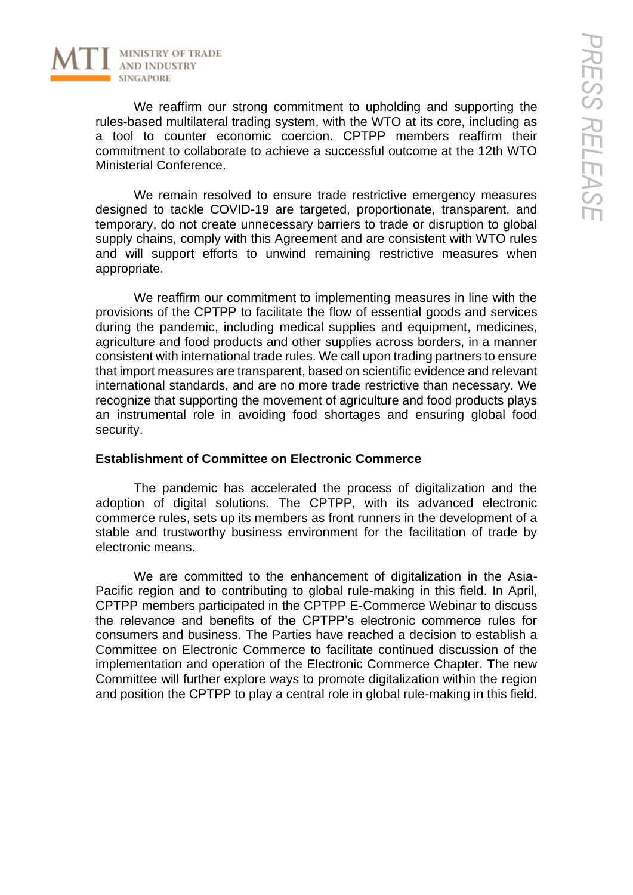

We reaffirm our strong commitment to upholding and supporting the rules-based multilateral trading system, with the WTO at its core, including as a tool to counter economic coercion. CPTPP members reaffirm their commitment to collaborate to achieve a successful outcome at the 12th WTO Ministerial Conference.

We remain resolved to ensure trade restrictive emergency measures designed to tackle COVID-19 are targeted, proportionate, transparent, and temporary, do not create unnecessary barriers to trade or disruption to global supply chains, comply with this Agreement and are consistent with WTO rules and will support efforts to unwind remaining restrictive measures when appropriate.

We reaffirm our commitment to implementing measures in line with the provisions of the CPTPP to facilitate the flow of essential goods and services during the pandemic, including medical supplies and equipment, medicines, agriculture and food products and other supplies across borders, in a manner consistent with international trade rules. We call upon trading partners to ensure that import measures are transparent, based on scientific evidence and relevant international standards, and are no more trade restrictive than necessary. We recognize that supporting the movement of agriculture and food products plays an instrumental role in avoiding food shortages and ensuring global food security.

#### **Establishment of Committee on Electronic Commerce**

The pandemic has accelerated the process of digitalization and the adoption of digital solutions. The CPTPP, with its advanced electronic commerce rules, sets up its members as front runners in the development of a stable and trustworthy business environment for the facilitation of trade by electronic means.

We are committed to the enhancement of digitalization in the Asia-Pacific region and to contributing to global rule-making in this field. In April, CPTPP members participated in the CPTPP E-Commerce Webinar to discuss the relevance and benefits of the CPTPP's electronic commerce rules for consumers and business. The Parties have reached a decision to establish a Committee on Electronic Commerce to facilitate continued discussion of the implementation and operation of the Electronic Commerce Chapter. The new Committee will further explore ways to promote digitalization within the region and position the CPTPP to play a central role in global rule-making in this field.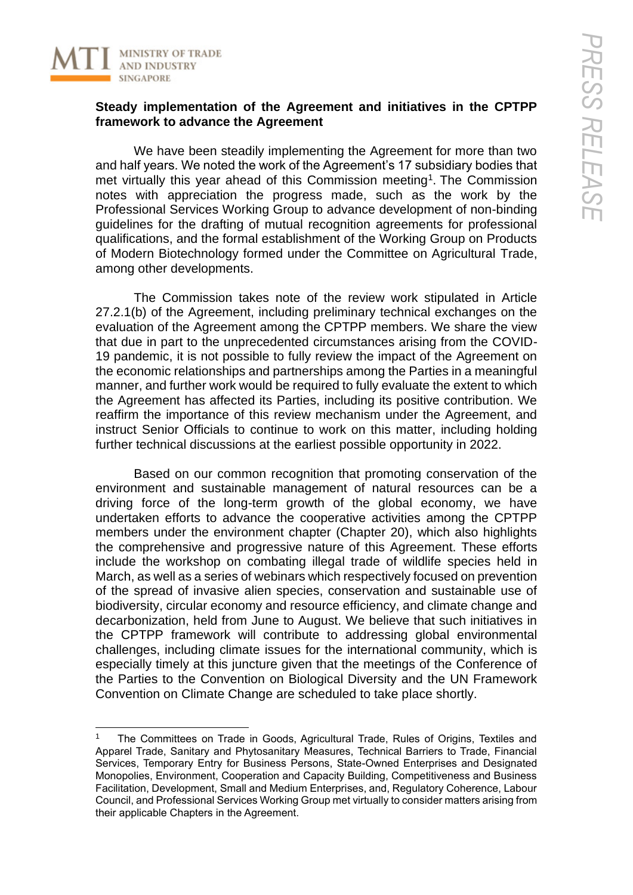

#### **Steady implementation of the Agreement and initiatives in the CPTPP framework to advance the Agreement**

We have been steadily implementing the Agreement for more than two and half years. We noted the work of the Agreement's 17 subsidiary bodies that met virtually this year ahead of this Commission meeting<sup>1</sup>. The Commission notes with appreciation the progress made, such as the work by the Professional Services Working Group to advance development of non-binding guidelines for the drafting of mutual recognition agreements for professional qualifications, and the formal establishment of the Working Group on Products of Modern Biotechnology formed under the Committee on Agricultural Trade, among other developments.

The Commission takes note of the review work stipulated in Article 27.2.1(b) of the Agreement, including preliminary technical exchanges on the evaluation of the Agreement among the CPTPP members. We share the view that due in part to the unprecedented circumstances arising from the COVID-19 pandemic, it is not possible to fully review the impact of the Agreement on the economic relationships and partnerships among the Parties in a meaningful manner, and further work would be required to fully evaluate the extent to which the Agreement has affected its Parties, including its positive contribution. We reaffirm the importance of this review mechanism under the Agreement, and instruct Senior Officials to continue to work on this matter, including holding further technical discussions at the earliest possible opportunity in 2022.

Based on our common recognition that promoting conservation of the environment and sustainable management of natural resources can be a driving force of the long-term growth of the global economy, we have undertaken efforts to advance the cooperative activities among the CPTPP members under the environment chapter (Chapter 20), which also highlights the comprehensive and progressive nature of this Agreement. These efforts include the workshop on combating illegal trade of wildlife species held in March, as well as a series of webinars which respectively focused on prevention of the spread of invasive alien species, conservation and sustainable use of biodiversity, circular economy and resource efficiency, and climate change and decarbonization, held from June to August. We believe that such initiatives in the CPTPP framework will contribute to addressing global environmental challenges, including climate issues for the international community, which is especially timely at this juncture given that the meetings of the Conference of the Parties to the Convention on Biological Diversity and the UN Framework Convention on Climate Change are scheduled to take place shortly.

<sup>1</sup> The Committees on Trade in Goods, Agricultural Trade, Rules of Origins, Textiles and Apparel Trade, Sanitary and Phytosanitary Measures, Technical Barriers to Trade, Financial Services, Temporary Entry for Business Persons, State-Owned Enterprises and Designated Monopolies, Environment, Cooperation and Capacity Building, Competitiveness and Business Facilitation, Development, Small and Medium Enterprises, and, Regulatory Coherence, Labour Council, and Professional Services Working Group met virtually to consider matters arising from their applicable Chapters in the Agreement.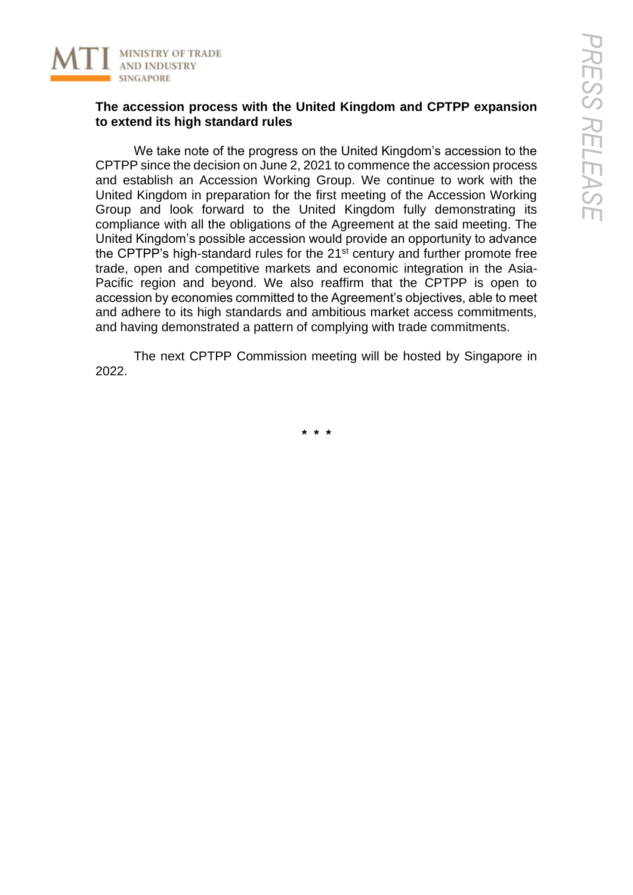

### **The accession process with the United Kingdom and CPTPP expansion to extend its high standard rules**

We take note of the progress on the United Kingdom's accession to the CPTPP since the decision on June 2, 2021 to commence the accession process and establish an Accession Working Group. We continue to work with the United Kingdom in preparation for the first meeting of the Accession Working Group and look forward to the United Kingdom fully demonstrating its compliance with all the obligations of the Agreement at the said meeting. The United Kingdom's possible accession would provide an opportunity to advance the CPTPP's high-standard rules for the 21<sup>st</sup> century and further promote free trade, open and competitive markets and economic integration in the Asia-Pacific region and beyond. We also reaffirm that the CPTPP is open to accession by economies committed to the Agreement's objectives, able to meet and adhere to its high standards and ambitious market access commitments, and having demonstrated a pattern of complying with trade commitments.

The next CPTPP Commission meeting will be hosted by Singapore in 2022.

**\* \* \***